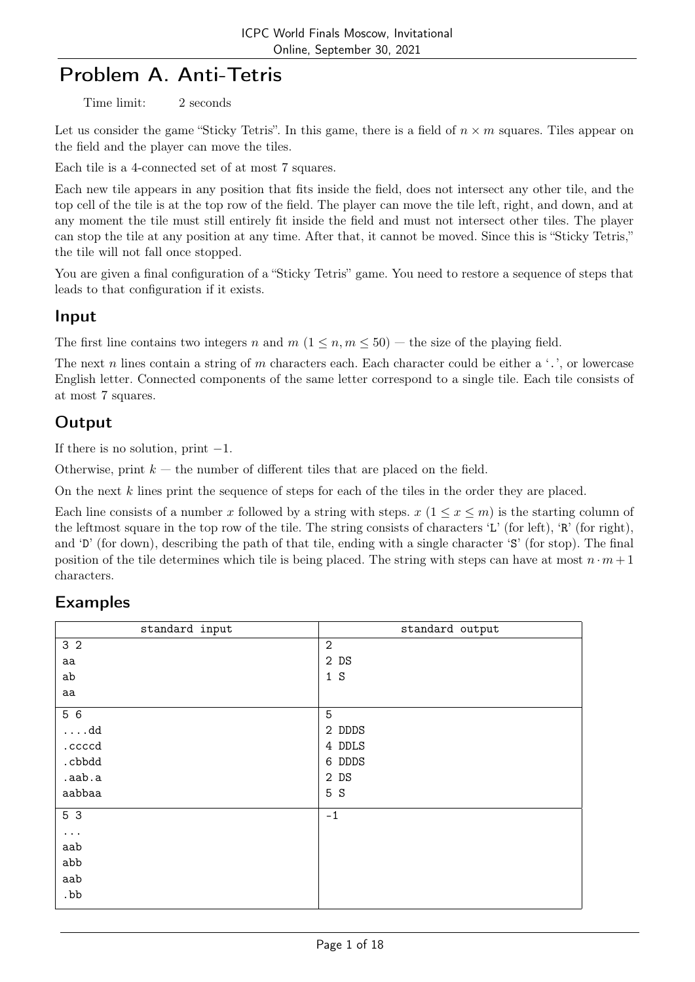# Problem A. Anti-Tetris

Time limit: 2 seconds

Let us consider the game "Sticky Tetris". In this game, there is a field of  $n \times m$  squares. Tiles appear on the field and the player can move the tiles.

Each tile is a 4-connected set of at most 7 squares.

Each new tile appears in any position that fits inside the field, does not intersect any other tile, and the top cell of the tile is at the top row of the field. The player can move the tile left, right, and down, and at any moment the tile must still entirely fit inside the field and must not intersect other tiles. The player can stop the tile at any position at any time. After that, it cannot be moved. Since this is "Sticky Tetris," the tile will not fall once stopped.

You are given a final configuration of a "Sticky Tetris" game. You need to restore a sequence of steps that leads to that configuration if it exists.

### Input

The first line contains two integers n and  $m (1 \leq n, m \leq 50)$  — the size of the playing field.

The next n lines contain a string of m characters each. Each character could be either a '.', or lowercase English letter. Connected components of the same letter correspond to a single tile. Each tile consists of at most 7 squares.

## **Output**

If there is no solution, print  $-1$ .

Otherwise, print  $k$  — the number of different tiles that are placed on the field.

On the next k lines print the sequence of steps for each of the tiles in the order they are placed.

Each line consists of a number x followed by a string with steps.  $x (1 \leq x \leq m)$  is the starting column of the leftmost square in the top row of the tile. The string consists of characters 'L' (for left), 'R' (for right), and 'D' (for down), describing the path of that tile, ending with a single character 'S' (for stop). The final position of the tile determines which tile is being placed. The string with steps can have at most  $n \cdot m + 1$ characters.

| standard input | standard output |
|----------------|-----------------|
| 3 <sub>2</sub> | $\overline{2}$  |
| aa             | 2DS             |
| ab             | 1 S             |
| aa             |                 |
| 5 6            | 5               |
| $\ldots$ .dd   | 2 DDDS          |
| .ccccd         | 4 DDLS          |
| .cbbdd         | 6 DDDS          |
| .aab.a         | 2DS             |
| aabbaa         | 5 S             |
| 5 3            | $-1$            |
| .              |                 |
| aab            |                 |
| abb            |                 |
| aab            |                 |
| .bb            |                 |
|                |                 |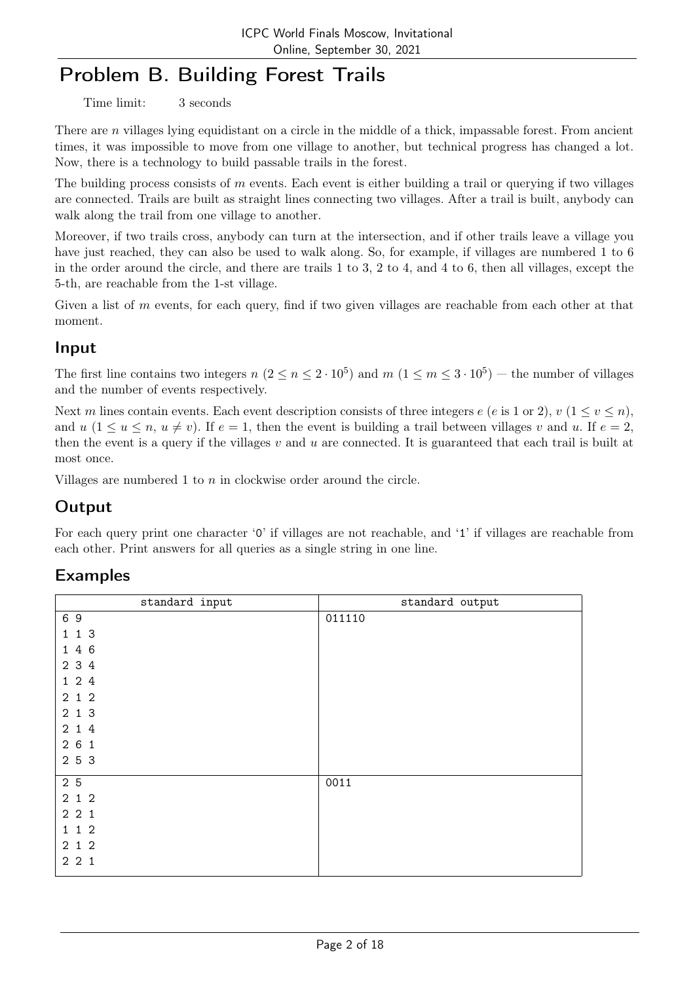# Problem B. Building Forest Trails

Time limit: 3 seconds

There are *n* villages lying equidistant on a circle in the middle of a thick, impassable forest. From ancient times, it was impossible to move from one village to another, but technical progress has changed a lot. Now, there is a technology to build passable trails in the forest.

The building process consists of  $m$  events. Each event is either building a trail or querying if two villages are connected. Trails are built as straight lines connecting two villages. After a trail is built, anybody can walk along the trail from one village to another.

Moreover, if two trails cross, anybody can turn at the intersection, and if other trails leave a village you have just reached, they can also be used to walk along. So, for example, if villages are numbered 1 to 6 in the order around the circle, and there are trails 1 to 3, 2 to 4, and 4 to 6, then all villages, except the 5-th, are reachable from the 1-st village.

Given a list of  $m$  events, for each query, find if two given villages are reachable from each other at that moment.

## Input

The first line contains two integers  $n (2 \le n \le 2 \cdot 10^5)$  and  $m (1 \le m \le 3 \cdot 10^5)$  – the number of villages and the number of events respectively.

Next m lines contain events. Each event description consists of three integers  $e$  (e is 1 or 2),  $v$  (1  $\leq v \leq n$ ), and u  $(1 \le u \le n, u \ne v)$ . If  $e = 1$ , then the event is building a trail between villages v and u. If  $e = 2$ , then the event is a query if the villages  $v$  and  $u$  are connected. It is guaranteed that each trail is built at most once.

Villages are numbered 1 to n in clockwise order around the circle.

# Output

For each query print one character '0' if villages are not reachable, and '1' if villages are reachable from each other. Print answers for all queries as a single string in one line.

| standard input | standard output |
|----------------|-----------------|
| 69             | 011110          |
| 113            |                 |
| 1 4 6          |                 |
| 2 3 4          |                 |
| 124            |                 |
| 212            |                 |
| 2 1 3          |                 |
| 2 1 4          |                 |
| 261            |                 |
| 2 5 3          |                 |
| 2 5            | 0011            |
| 212            |                 |
| 221            |                 |
| 112            |                 |
| 212            |                 |
| 221            |                 |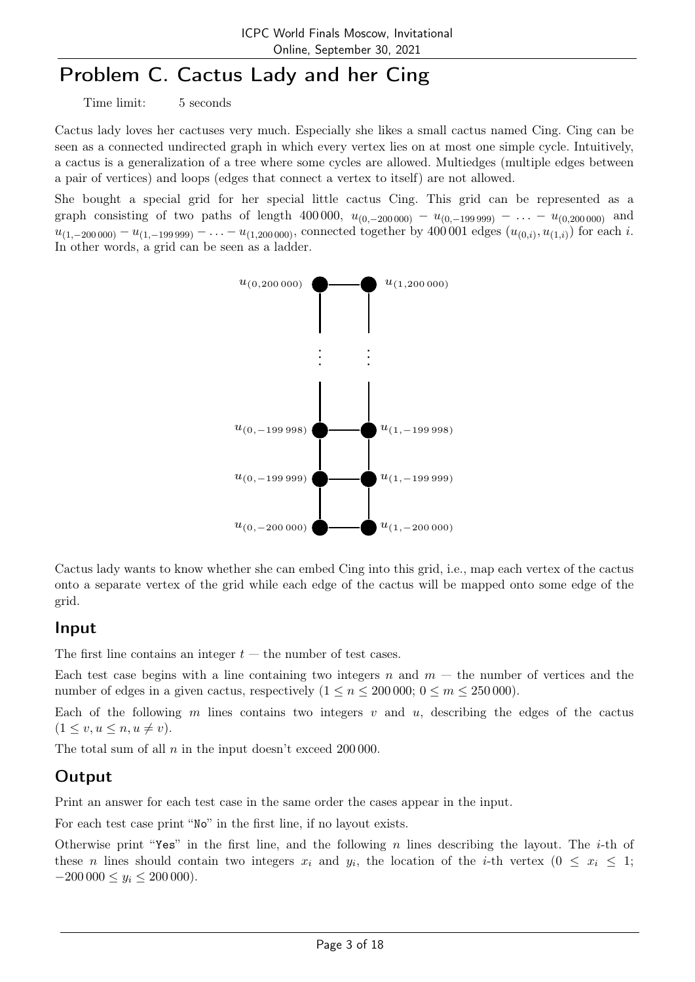# Problem C. Cactus Lady and her Cing

Time limit: 5 seconds

Cactus lady loves her cactuses very much. Especially she likes a small cactus named Cing. Cing can be seen as a connected undirected graph in which every vertex lies on at most one simple cycle. Intuitively, a cactus is a generalization of a tree where some cycles are allowed. Multiedges (multiple edges between a pair of vertices) and loops (edges that connect a vertex to itself) are not allowed.

She bought a special grid for her special little cactus Cing. This grid can be represented as a graph consisting of two paths of length 400 000,  $u_{(0,-200000)} - u_{(0,-199999)} - \ldots - u_{(0,200000)}$  and  $u_{(1,-200\,000)} - u_{(1,-199\,999)} - \ldots - u_{(1,200\,000)}$ , connected together by 400 001 edges  $(u_{(0,i)}, u_{(1,i)})$  for each i. In other words, a grid can be seen as a ladder.



Cactus lady wants to know whether she can embed Cing into this grid, i.e., map each vertex of the cactus onto a separate vertex of the grid while each edge of the cactus will be mapped onto some edge of the grid.

#### Input

The first line contains an integer  $t$  — the number of test cases.

Each test case begins with a line containing two integers n and  $m -$  the number of vertices and the number of edges in a given cactus, respectively  $(1 \le n \le 200000; 0 \le m \le 250000)$ .

Each of the following m lines contains two integers  $v$  and  $u$ , describing the edges of the cactus  $(1 \le v, u \le n, u \ne v).$ 

The total sum of all  $n$  in the input doesn't exceed 200 000.

## Output

Print an answer for each test case in the same order the cases appear in the input.

For each test case print "No" in the first line, if no layout exists.

Otherwise print "Yes" in the first line, and the following n lines describing the layout. The *i*-th of these *n* lines should contain two integers  $x_i$  and  $y_i$ , the location of the *i*-th vertex  $(0 \le x_i \le 1;$  $-200\,000 \le y_i \le 200\,000$ .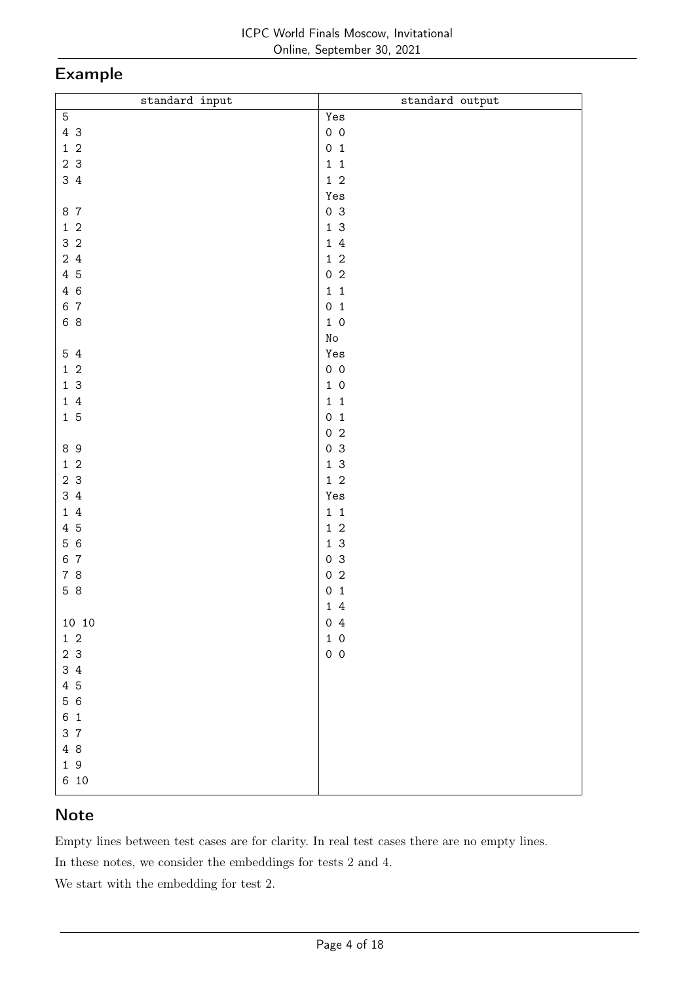# Example

| $\texttt{standard}$ input | standard output    |
|---------------------------|--------------------|
| 5                         | Yes                |
| 4 3                       | $0\quad 0$         |
| $1\,2$                    | 0 <sub>1</sub>     |
| 2 <sub>3</sub>            | $1\quad 1$         |
| 3 4                       | $1\,$ 2            |
|                           |                    |
|                           | Yes                |
| 8 7                       | 0 <sup>3</sup>     |
| $1\quad2$                 | $1\,$ $3\,$        |
| 3 <sub>2</sub>            | $1\,4$             |
| 24                        | $1\,$ 2            |
| 4 5                       | $0\,2$             |
| 4 6                       | $1\quad 1$         |
| 6 7                       | 0 <sub>1</sub>     |
| 6 8                       | $1\,$ 0            |
|                           | $\rm\thinspace No$ |
| 5 4                       | Yes                |
| $1\quad2$                 | $0\quad 0$         |
| 1 <sup>3</sup>            | $1\,$ 0            |
| $1\,4$                    | $1\quad1$          |
|                           |                    |
| 15                        | 0 <sub>1</sub>     |
|                           | $0\,2$             |
| 89                        | 0 <sup>3</sup>     |
| $1\quad2$                 | $1\,$ $3\,$        |
| 2 <sub>3</sub>            | $1\,$ 2            |
| 3 4                       | Yes                |
| 14                        | $1\;\;1$           |
| 4 5                       | $1\,$ 2            |
| 5 6                       | 13                 |
| 6 7                       | 0 <sup>3</sup>     |
| 7 8                       | 0 <sub>2</sub>     |
| 5 8                       | 0 <sub>1</sub>     |
|                           | 14                 |
|                           |                    |
| 10 10                     | 04                 |
| $1\,$ $2\,$               | $1\,$ 0            |
| 2 <sub>3</sub>            | $0\quad 0$         |
| 34                        |                    |
| 4 5                       |                    |
| 5 6                       |                    |
| 6 <sub>1</sub>            |                    |
| 3 7                       |                    |
| 4 8                       |                    |
| 19                        |                    |
| 6 10                      |                    |
|                           |                    |

## Note

Empty lines between test cases are for clarity. In real test cases there are no empty lines.

In these notes, we consider the embeddings for tests 2 and 4.

We start with the embedding for test 2.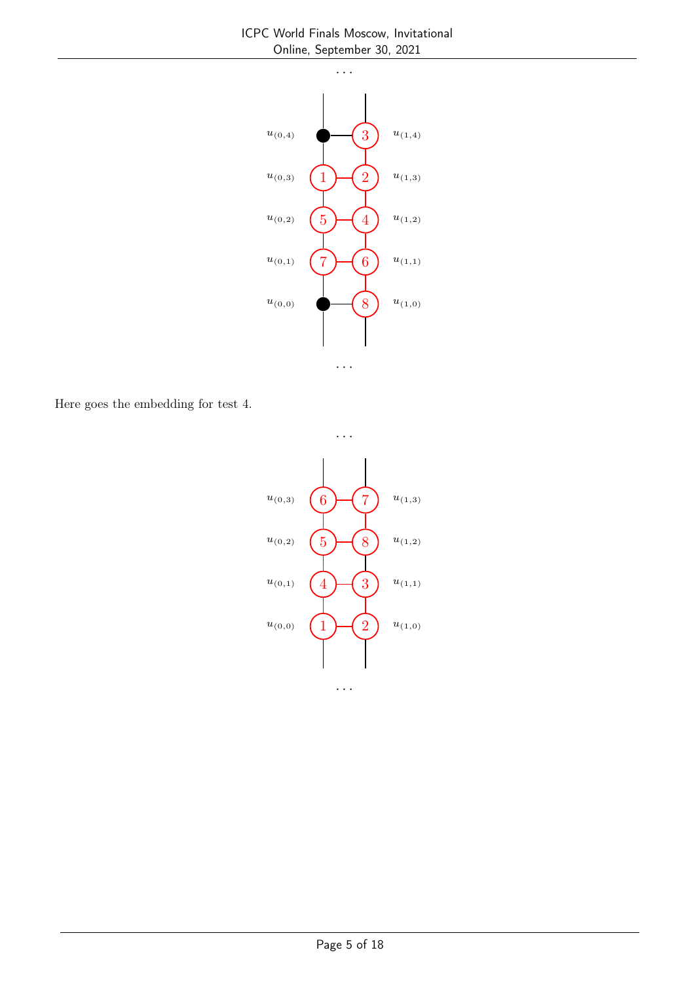

. . .

Here goes the embedding for test 4.



. . .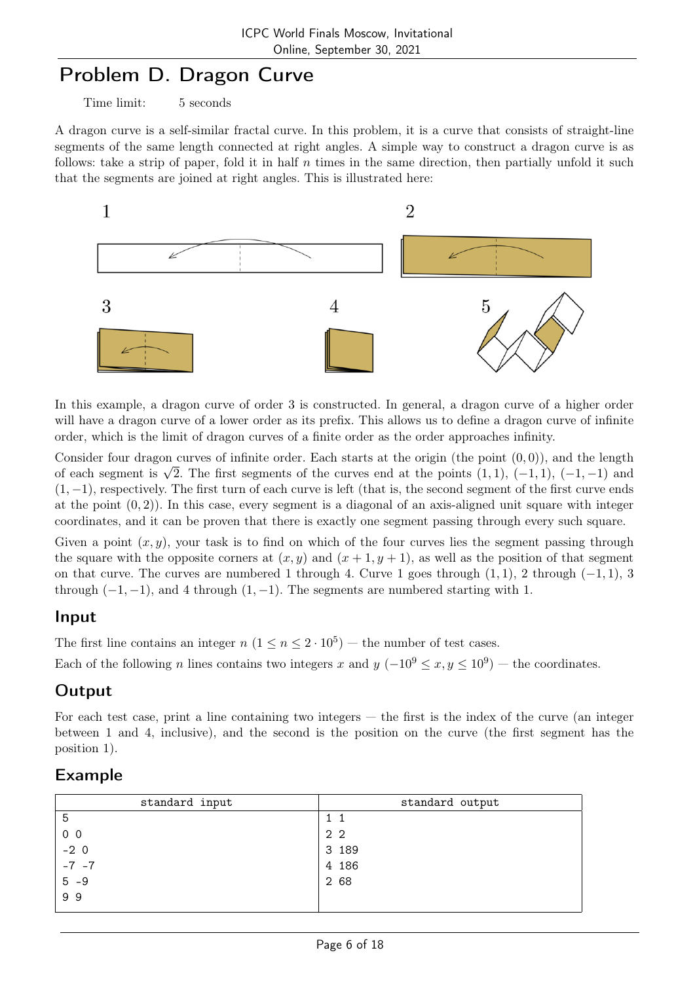# Problem D. Dragon Curve

Time limit: 5 seconds

A dragon curve is a self-similar fractal curve. In this problem, it is a curve that consists of straight-line segments of the same length connected at right angles. A simple way to construct a dragon curve is as follows: take a strip of paper, fold it in half n times in the same direction, then partially unfold it such that the segments are joined at right angles. This is illustrated here:



In this example, a dragon curve of order 3 is constructed. In general, a dragon curve of a higher order will have a dragon curve of a lower order as its prefix. This allows us to define a dragon curve of infinite order, which is the limit of dragon curves of a finite order as the order approaches infinity.

Consider four dragon curves of infinite order. Each starts at the origin (the point  $(0, 0)$ ), and the length Consider four dragon curves of minime order. Each starts at the origin (the point  $(0,0)$ ), and the length of each segment is  $\sqrt{2}$ . The first segments of the curves end at the points  $(1,1)$ ,  $(-1,1)$ ,  $(-1,-1)$  and  $(1,-1)$ , respectively. The first turn of each curve is left (that is, the second segment of the first curve ends at the point  $(0, 2)$ ). In this case, every segment is a diagonal of an axis-aligned unit square with integer coordinates, and it can be proven that there is exactly one segment passing through every such square.

Given a point  $(x, y)$ , your task is to find on which of the four curves lies the segment passing through the square with the opposite corners at  $(x, y)$  and  $(x + 1, y + 1)$ , as well as the position of that segment on that curve. The curves are numbered 1 through 4. Curve 1 goes through  $(1, 1)$ , 2 through  $(-1, 1)$ , 3 through  $(-1, -1)$ , and 4 through  $(1, -1)$ . The segments are numbered starting with 1.

### Input

The first line contains an integer  $n (1 \le n \le 2 \cdot 10^5)$  – the number of test cases.

Each of the following n lines contains two integers x and  $y(-10^9 \le x, y \le 10^9)$  – the coordinates.

## **Output**

For each test case, print a line containing two integers — the first is the index of the curve (an integer between 1 and 4, inclusive), and the second is the position on the curve (the first segment has the position 1).

| standard input      | standard output |
|---------------------|-----------------|
| -5                  |                 |
| 0 <sub>0</sub>      | 2 2             |
| $-2$ 0<br>$-7$ $-7$ | 3 189           |
|                     | 4 186           |
| $5 - 9$             | 2 68            |
| 99                  |                 |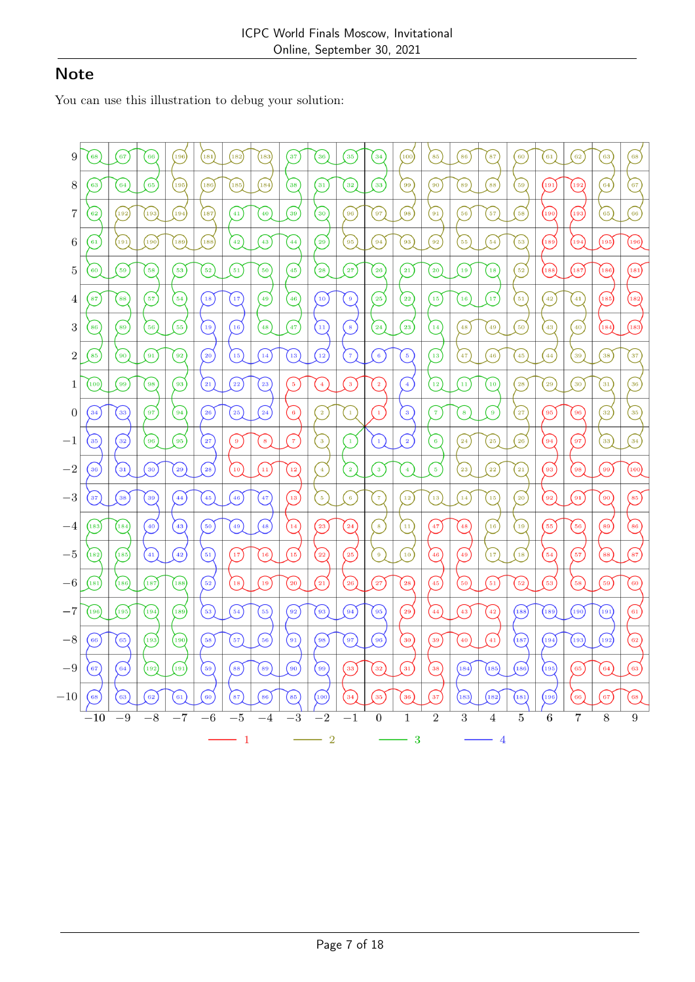# **Note**

You can use this illustration to debug your solution:

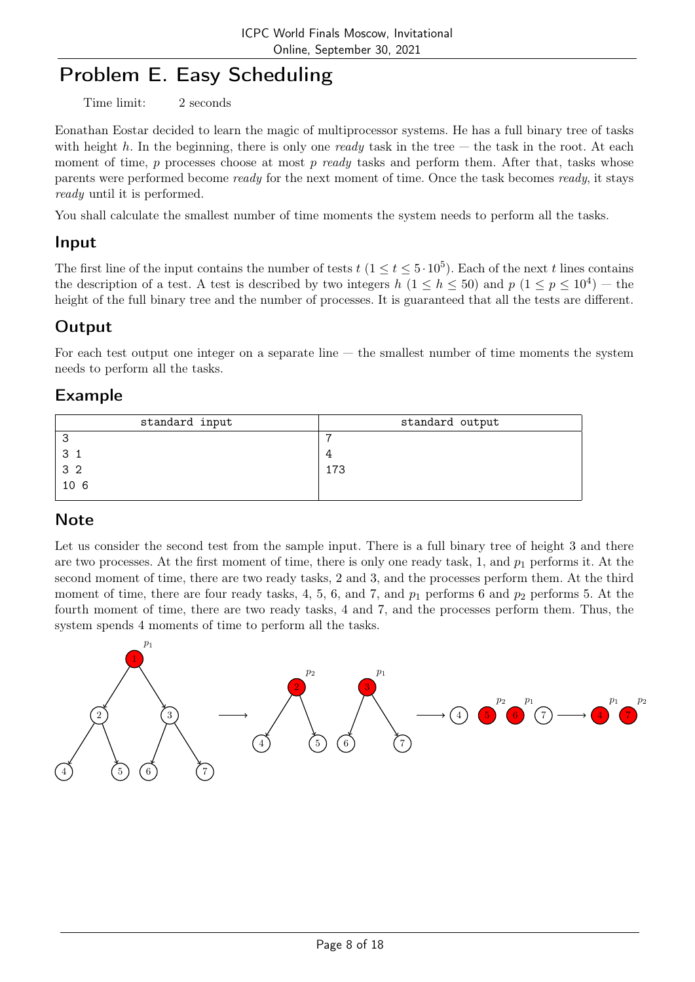# Problem E. Easy Scheduling

Time limit: 2 seconds

Eonathan Eostar decided to learn the magic of multiprocessor systems. He has a full binary tree of tasks with height h. In the beginning, there is only one ready task in the tree — the task in the root. At each moment of time,  $p$  processes choose at most  $p$  ready tasks and perform them. After that, tasks whose parents were performed become ready for the next moment of time. Once the task becomes ready, it stays ready until it is performed.

You shall calculate the smallest number of time moments the system needs to perform all the tasks.

### Input

The first line of the input contains the number of tests  $t$   $(1 \le t \le 5 \cdot 10^5)$ . Each of the next t lines contains the description of a test. A test is described by two integers  $h$   $(1 \leq h \leq 50)$  and  $p$   $(1 \leq p \leq 10^4)$  – the height of the full binary tree and the number of processes. It is guaranteed that all the tests are different.

## **Output**

For each test output one integer on a separate line — the smallest number of time moments the system needs to perform all the tasks.

### Example

| standard input | standard output |
|----------------|-----------------|
|                |                 |
|                |                 |
| 3 <sub>2</sub> | 173             |
| 106            |                 |
|                |                 |

## **Note**

Let us consider the second test from the sample input. There is a full binary tree of height 3 and there are two processes. At the first moment of time, there is only one ready task, 1, and  $p_1$  performs it. At the second moment of time, there are two ready tasks, 2 and 3, and the processes perform them. At the third moment of time, there are four ready tasks, 4, 5, 6, and 7, and  $p_1$  performs 6 and  $p_2$  performs 5. At the fourth moment of time, there are two ready tasks, 4 and 7, and the processes perform them. Thus, the system spends 4 moments of time to perform all the tasks.

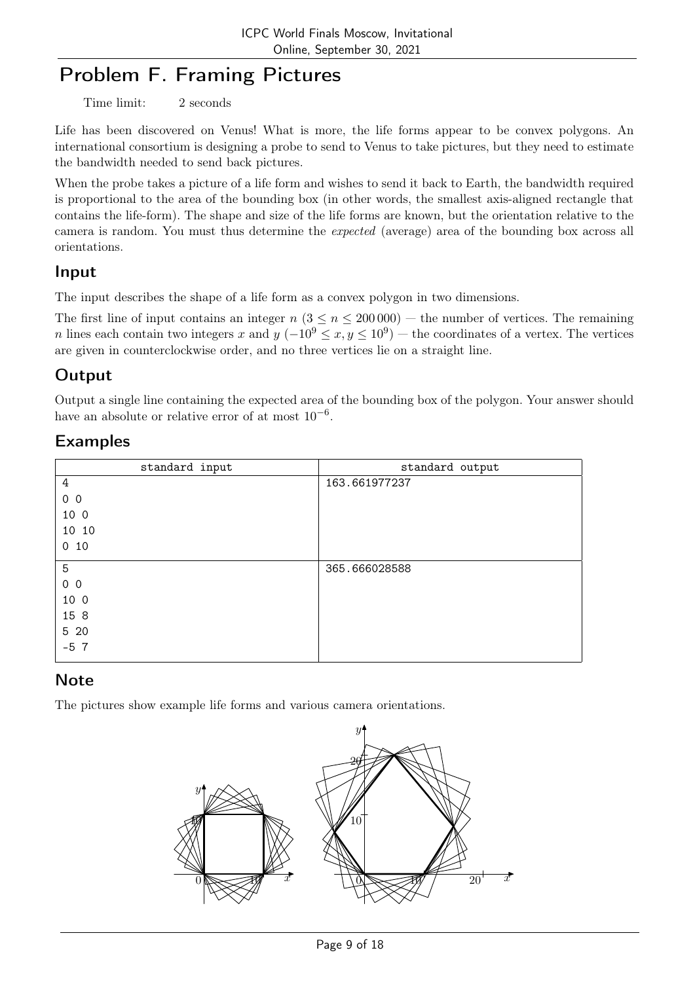# Problem F. Framing Pictures

Time limit: 2 seconds

Life has been discovered on Venus! What is more, the life forms appear to be convex polygons. An international consortium is designing a probe to send to Venus to take pictures, but they need to estimate the bandwidth needed to send back pictures.

When the probe takes a picture of a life form and wishes to send it back to Earth, the bandwidth required is proportional to the area of the bounding box (in other words, the smallest axis-aligned rectangle that contains the life-form). The shape and size of the life forms are known, but the orientation relative to the camera is random. You must thus determine the expected (average) area of the bounding box across all orientations.

### Input

The input describes the shape of a life form as a convex polygon in two dimensions.

The first line of input contains an integer  $n (3 \le n \le 200000)$  — the number of vertices. The remaining n lines each contain two integers x and  $y (-10^9 \le x, y \le 10^9)$  — the coordinates of a vertex. The vertices are given in counterclockwise order, and no three vertices lie on a straight line.

## **Output**

Output a single line containing the expected area of the bounding box of the polygon. Your answer should have an absolute or relative error of at most  $10^{-6}$ .

## Examples

| standard input  | standard output |
|-----------------|-----------------|
| 4               | 163.661977237   |
| 0 <sub>0</sub>  |                 |
| 10 0            |                 |
| 10 10           |                 |
| 0 <sub>10</sub> |                 |
| 5               | 365.666028588   |
| 0 <sub>0</sub>  |                 |
| 10 0            |                 |
| 15 8            |                 |
| 5 20            |                 |
| $-57$           |                 |

## **Note**

The pictures show example life forms and various camera orientations.

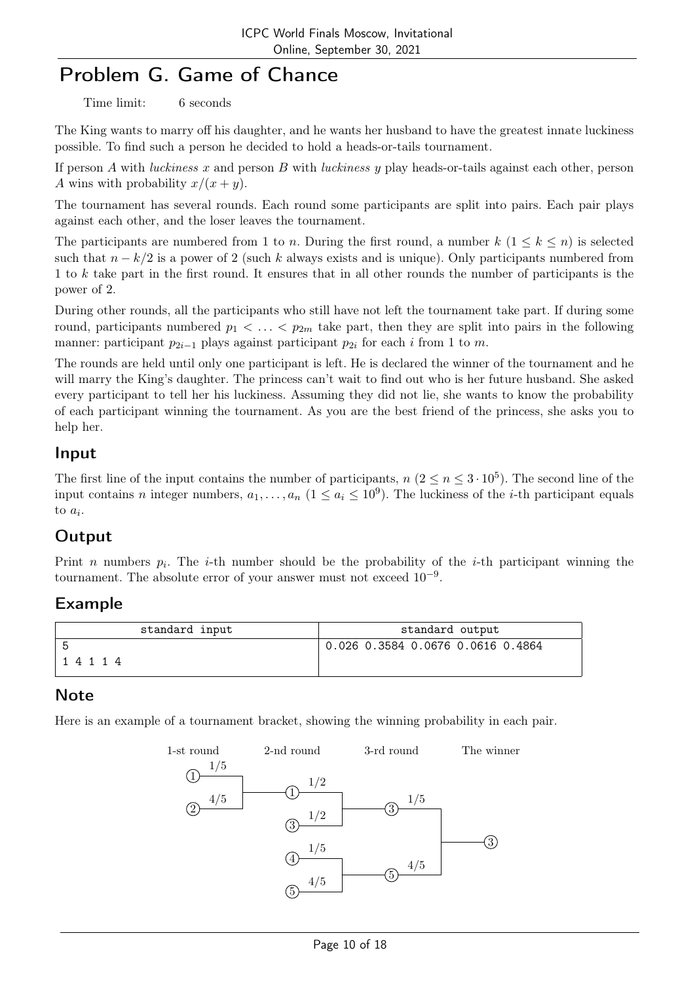# Problem G. Game of Chance

Time limit: 6 seconds

The King wants to marry off his daughter, and he wants her husband to have the greatest innate luckiness possible. To find such a person he decided to hold a heads-or-tails tournament.

If person A with *luckiness* x and person B with *luckiness* y play heads-or-tails against each other, person A wins with probability  $x/(x+y)$ .

The tournament has several rounds. Each round some participants are split into pairs. Each pair plays against each other, and the loser leaves the tournament.

The participants are numbered from 1 to n. During the first round, a number  $k$   $(1 \leq k \leq n)$  is selected such that  $n - k/2$  is a power of 2 (such k always exists and is unique). Only participants numbered from 1 to k take part in the first round. It ensures that in all other rounds the number of participants is the power of 2.

During other rounds, all the participants who still have not left the tournament take part. If during some round, participants numbered  $p_1 < \ldots < p_{2m}$  take part, then they are split into pairs in the following manner: participant  $p_{2i-1}$  plays against participant  $p_{2i}$  for each i from 1 to m.

The rounds are held until only one participant is left. He is declared the winner of the tournament and he will marry the King's daughter. The princess can't wait to find out who is her future husband. She asked every participant to tell her his luckiness. Assuming they did not lie, she wants to know the probability of each participant winning the tournament. As you are the best friend of the princess, she asks you to help her.

### Input

The first line of the input contains the number of participants,  $n (2 \le n \le 3 \cdot 10^5)$ . The second line of the input contains *n* integer numbers,  $a_1, \ldots, a_n$   $(1 \le a_i \le 10^9)$ . The luckiness of the *i*-th participant equals to  $a_i$ .

## Output

Print *n* numbers  $p_i$ . The *i*-th number should be the probability of the *i*-th participant winning the tournament. The absolute error of your answer must not exceed  $10^{-9}$ .

## Example

| standard input | standard output                   |
|----------------|-----------------------------------|
| 14114          | 0.026 0.3584 0.0676 0.0616 0.4864 |

## **Note**

Here is an example of a tournament bracket, showing the winning probability in each pair.

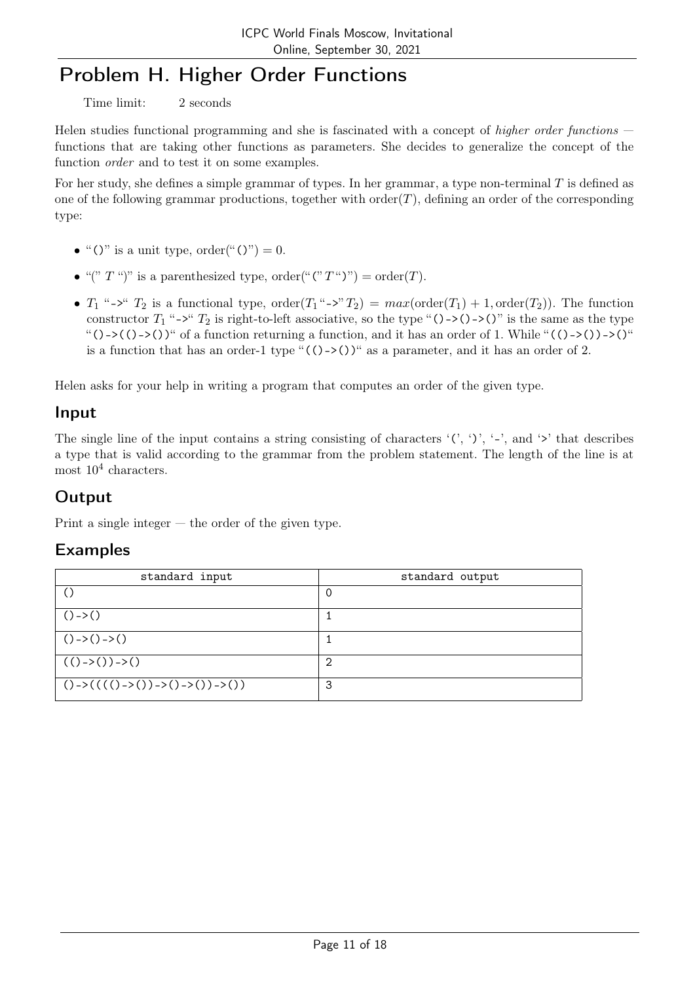# Problem H. Higher Order Functions

Time limit: 2 seconds

Helen studies functional programming and she is fascinated with a concept of higher order functions – functions that are taking other functions as parameters. She decides to generalize the concept of the function order and to test it on some examples.

For her study, she defines a simple grammar of types. In her grammar, a type non-terminal T is defined as one of the following grammar productions, together with order $(T)$ , defining an order of the corresponding type:

- "()" is a unit type, order("()") = 0.
- "("  $T$ ")" is a parenthesized type, order(" $(T^{\prime\prime})$ ") = order $(T)$ .
- $T_1$  "->"  $T_2$  is a functional type, order $(T_1$ "->"  $T_2) = max(\text{order}(T_1) + 1, \text{order}(T_2))$ . The function constructor  $T_1$  "->"  $T_2$  is right-to-left associative, so the type "()->()->()" is the same as the type "()->(()->())" of a function returning a function, and it has an order of 1. While "(()->())->()" is a function that has an order-1 type " $(()$ -> $())$ " as a parameter, and it has an order of 2.

Helen asks for your help in writing a program that computes an order of the given type.

### Input

The single line of the input contains a string consisting of characters  $'(', ')'$ , '-', and '>' that describes a type that is valid according to the grammar from the problem statement. The length of the line is at most  $10^4$  characters.

## **Output**

Print a single integer — the order of the given type.

| standard input                                     | standard output |
|----------------------------------------------------|-----------------|
| $\left(\right)$                                    | 0               |
| $()$ -> $()$                                       |                 |
| $()$ ->() ->()                                     |                 |
| $(( ) - \rangle ) - \rangle )$                     | 2               |
| $()$ -> $(((()$ -> $())$ -> $()$ -> $()$ ) -> $()$ | 3               |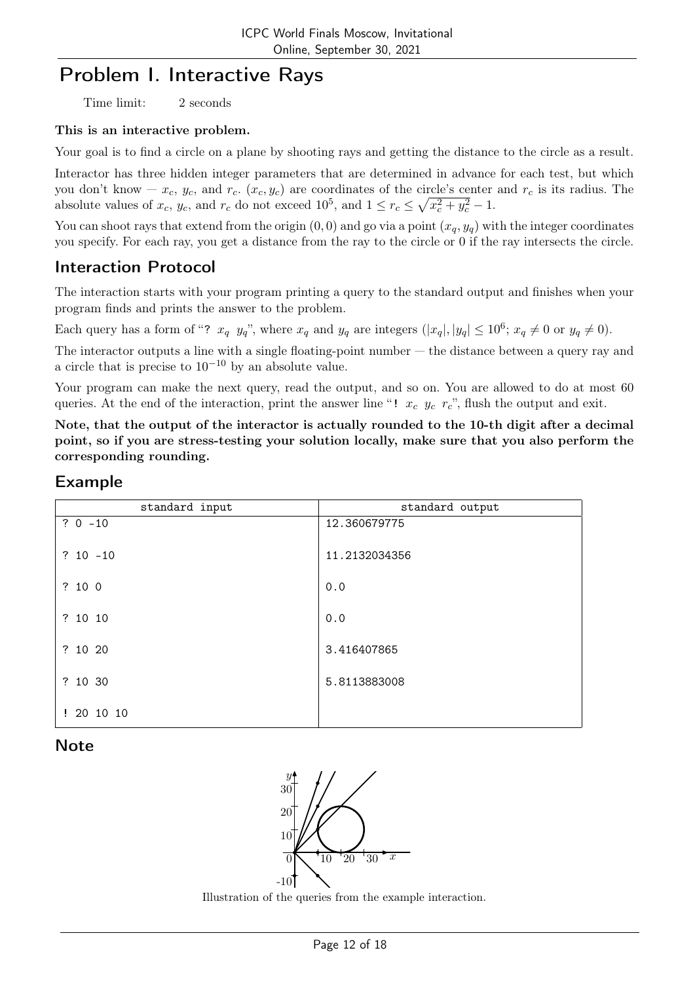# Problem I. Interactive Rays

Time limit: 2 seconds

#### This is an interactive problem.

Your goal is to find a circle on a plane by shooting rays and getting the distance to the circle as a result.

Interactor has three hidden integer parameters that are determined in advance for each test, but which you don't know  $-x_c$ ,  $y_c$ , and  $r_c$ .  $(x_c, y_c)$  are coordinates of the circle's center and  $r_c$  is its radius. The absolute values of  $x_c$ ,  $y_c$ , and  $r_c$  do not exceed  $10^5$ , and  $1 \le r_c \le \sqrt{x_c^2 + y_c^2} - 1$ .

You can shoot rays that extend from the origin  $(0, 0)$  and go via a point  $(x_q, y_q)$  with the integer coordinates you specify. For each ray, you get a distance from the ray to the circle or 0 if the ray intersects the circle.

## Interaction Protocol

The interaction starts with your program printing a query to the standard output and finishes when your program finds and prints the answer to the problem.

Each query has a form of "?  $x_q$   $y_q$ ", where  $x_q$  and  $y_q$  are integers  $(|x_q|, |y_q| \le 10^6$ ;  $x_q \ne 0$  or  $y_q \ne 0$ ).

The interactor outputs a line with a single floating-point number — the distance between a query ray and a circle that is precise to  $10^{-10}$  by an absolute value.

Your program can make the next query, read the output, and so on. You are allowed to do at most 60 queries. At the end of the interaction, print the answer line "!  $x_c$   $y_c$   $r_c$ ", flush the output and exit.

Note, that the output of the interactor is actually rounded to the 10-th digit after a decimal point, so if you are stress-testing your solution locally, make sure that you also perform the corresponding rounding.

### Example

| standard input | standard output |
|----------------|-----------------|
| $? 0 - 10$     | 12.360679775    |
| $? 10 - 10$    | 11.2132034356   |
| ? 100          | 0.0             |
| ? 10 10        | 0.0             |
| ? 10 20        | 3.416407865     |
| ? 10 30        | 5.8113883008    |
| !201010        |                 |

### **Note**



Illustration of the queries from the example interaction.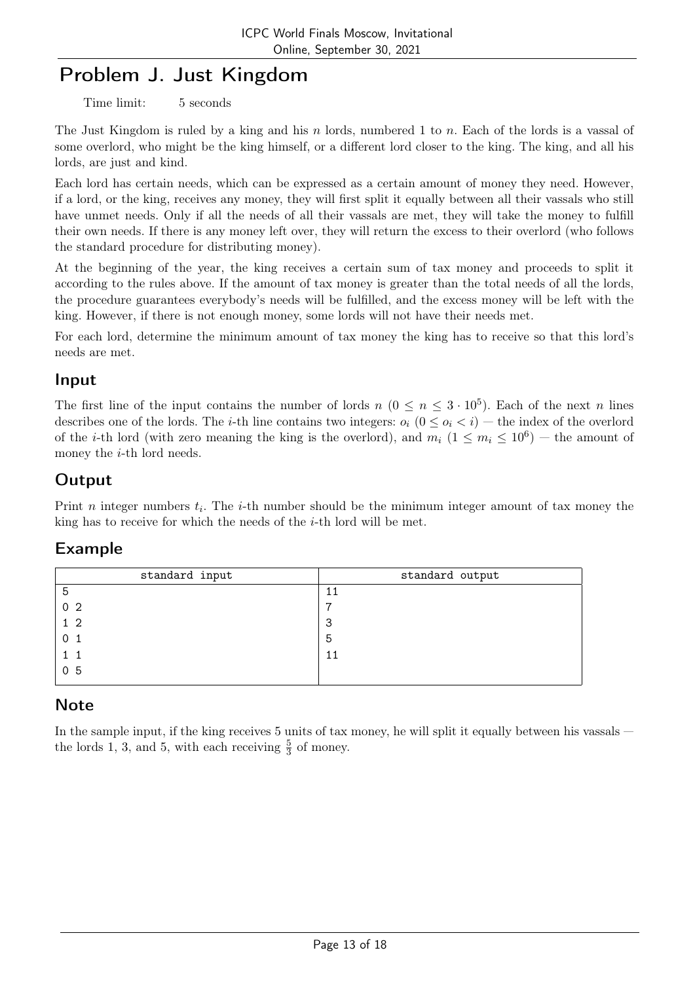# Problem J. Just Kingdom

Time limit: 5 seconds

The Just Kingdom is ruled by a king and his n lords, numbered 1 to n. Each of the lords is a vassal of some overlord, who might be the king himself, or a different lord closer to the king. The king, and all his lords, are just and kind.

Each lord has certain needs, which can be expressed as a certain amount of money they need. However, if a lord, or the king, receives any money, they will first split it equally between all their vassals who still have unmet needs. Only if all the needs of all their vassals are met, they will take the money to fulfill their own needs. If there is any money left over, they will return the excess to their overlord (who follows the standard procedure for distributing money).

At the beginning of the year, the king receives a certain sum of tax money and proceeds to split it according to the rules above. If the amount of tax money is greater than the total needs of all the lords, the procedure guarantees everybody's needs will be fulfilled, and the excess money will be left with the king. However, if there is not enough money, some lords will not have their needs met.

For each lord, determine the minimum amount of tax money the king has to receive so that this lord's needs are met.

### Input

The first line of the input contains the number of lords  $n (0 \le n \le 3 \cdot 10^5)$ . Each of the next n lines describes one of the lords. The *i*-th line contains two integers:  $o_i$  ( $0 \leq o_i < i$ ) — the index of the overlord of the *i*-th lord (with zero meaning the king is the overlord), and  $m_i$   $(1 \le m_i \le 10^6)$  – the amount of money the  $i$ -th lord needs.

## **Output**

Print *n* integer numbers  $t_i$ . The *i*-th number should be the minimum integer amount of tax money the king has to receive for which the needs of the i-th lord will be met.

### Example

| standard input | standard output |
|----------------|-----------------|
| 5              | 11              |
| 0 <sub>2</sub> | ⇁               |
| 1 <sub>2</sub> | 3               |
| 0 <sub>1</sub> | 5               |
|                | 11              |
| 0 <sub>5</sub> |                 |

### **Note**

In the sample input, if the king receives 5 units of tax money, he will split it equally between his vassals the lords 1, 3, and 5, with each receiving  $\frac{5}{3}$  of money.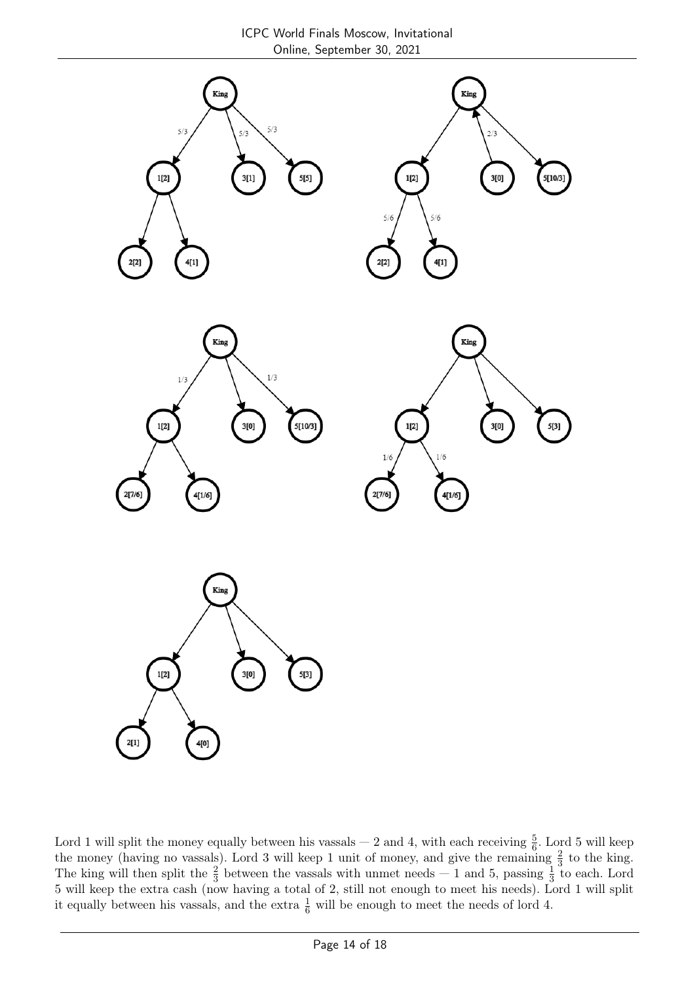

Lord 1 will split the money equally between his vassals  $-$  2 and 4, with each receiving  $\frac{5}{6}$ . Lord 5 will keep the money (having no vassals). Lord 3 will keep 1 unit of money, and give the remaining  $\frac{2}{3}$  to the king. The king will then split the  $\frac{2}{3}$  between the vassals with unmet needs  $-1$  and 5, passing  $\frac{1}{3}$  to each. Lord 5 will keep the extra cash (now having a total of 2, still not enough to meet his needs). Lord 1 will split it equally between his vassals, and the extra  $\frac{1}{6}$  will be enough to meet the needs of lord 4.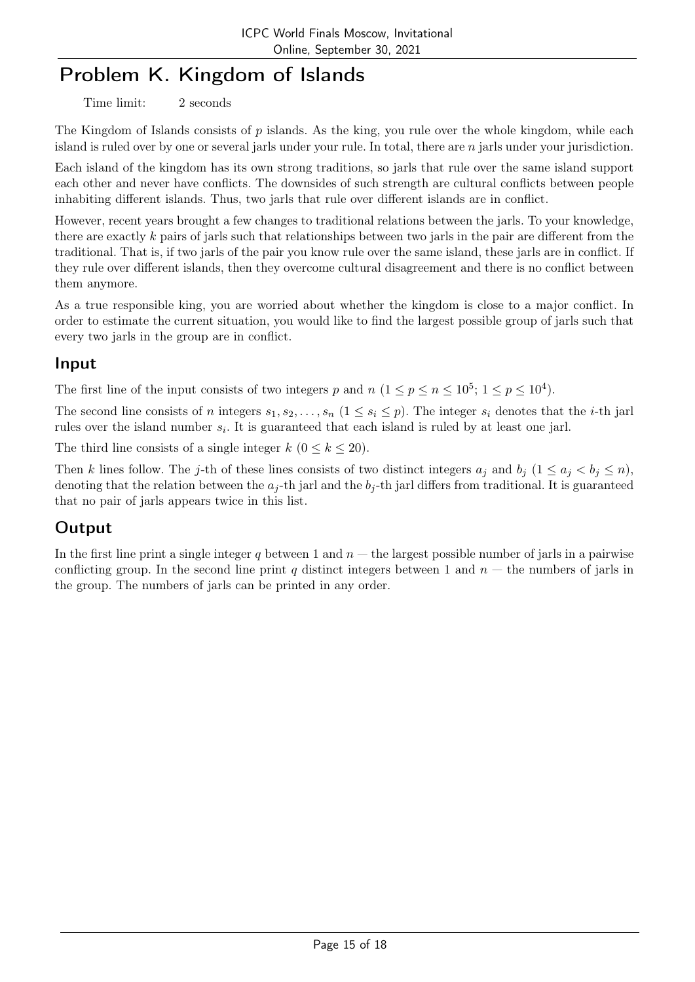# Problem K. Kingdom of Islands

Time limit: 2 seconds

The Kingdom of Islands consists of  $p$  islands. As the king, you rule over the whole kingdom, while each island is ruled over by one or several jarls under your rule. In total, there are n jarls under your jurisdiction.

Each island of the kingdom has its own strong traditions, so jarls that rule over the same island support each other and never have conflicts. The downsides of such strength are cultural conflicts between people inhabiting different islands. Thus, two jarls that rule over different islands are in conflict.

However, recent years brought a few changes to traditional relations between the jarls. To your knowledge, there are exactly  $k$  pairs of jarls such that relationships between two jarls in the pair are different from the traditional. That is, if two jarls of the pair you know rule over the same island, these jarls are in conflict. If they rule over different islands, then they overcome cultural disagreement and there is no conflict between them anymore.

As a true responsible king, you are worried about whether the kingdom is close to a major conflict. In order to estimate the current situation, you would like to find the largest possible group of jarls such that every two jarls in the group are in conflict.

## Input

The first line of the input consists of two integers p and  $n (1 \le p \le n \le 10^5; 1 \le p \le 10^4)$ .

The second line consists of n integers  $s_1, s_2, \ldots, s_n$   $(1 \le s_i \le p)$ . The integer  $s_i$  denotes that the *i*-th jarl rules over the island number  $s_i$ . It is guaranteed that each island is ruled by at least one jarl.

The third line consists of a single integer  $k$   $(0 \leq k \leq 20)$ .

Then k lines follow. The j-th of these lines consists of two distinct integers  $a_j$  and  $b_j$   $(1 \le a_j < b_j \le n)$ , denoting that the relation between the  $a_j$ -th jarl and the  $b_j$ -th jarl differs from traditional. It is guaranteed that no pair of jarls appears twice in this list.

## **Output**

In the first line print a single integer q between 1 and  $n -$  the largest possible number of jarls in a pairwise conflicting group. In the second line print q distinct integers between 1 and  $n -$  the numbers of jarls in the group. The numbers of jarls can be printed in any order.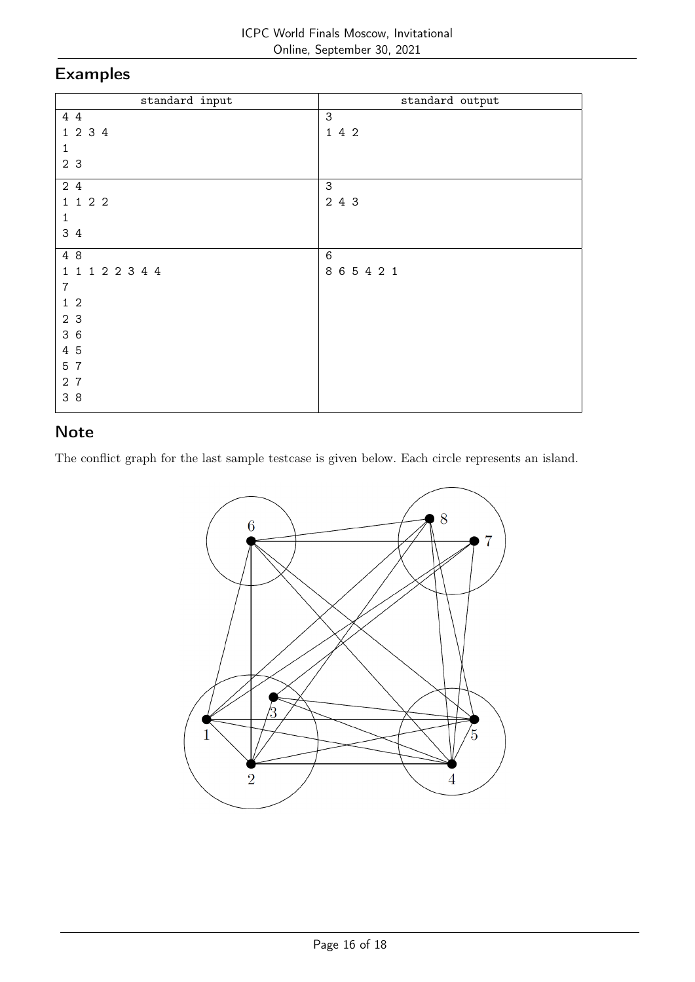# Examples

| standard input  | standard output |
|-----------------|-----------------|
| 4 4             | $\mathsf 3$     |
| 1 2 3 4         | 142             |
| 1               |                 |
| 2 3             |                 |
| 24              | 3               |
| 1 1 2 2         | 2 4 3           |
| 1               |                 |
| 3 4             |                 |
| 4 8             | $\,6$           |
| 1 1 1 2 2 3 4 4 | 865421          |
| $\overline{7}$  |                 |
| $1\quad2$       |                 |
| 2 3             |                 |
| 36              |                 |
| 4 5             |                 |
| 5 7             |                 |
| 27              |                 |
| 3 8             |                 |
|                 |                 |

## Note

The conflict graph for the last sample testcase is given below. Each circle represents an island.

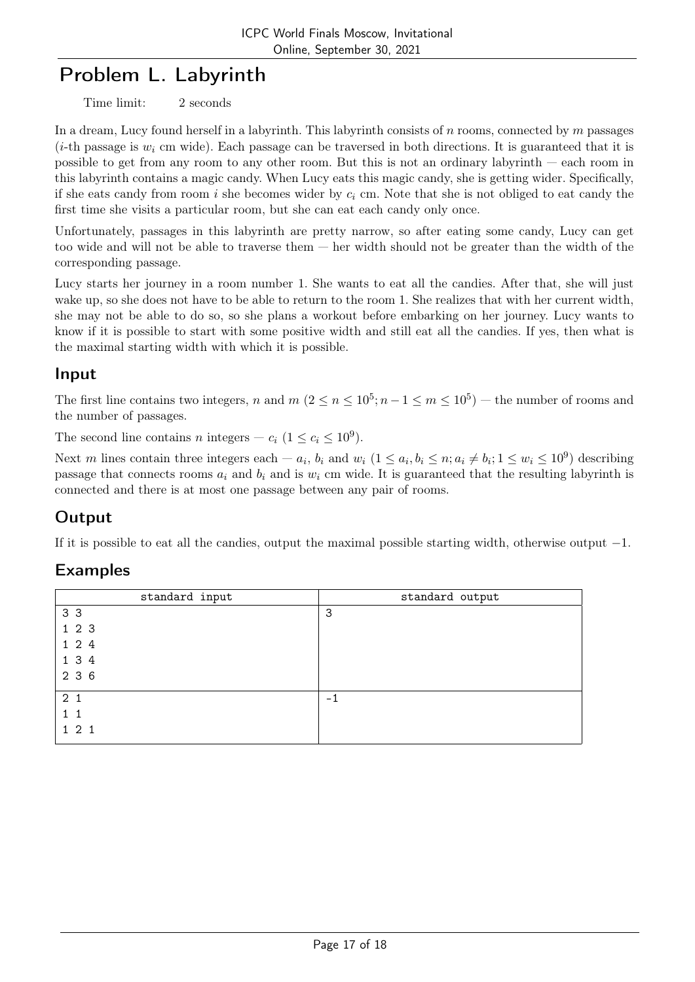# Problem L. Labyrinth

Time limit: 2 seconds

In a dream, Lucy found herself in a labyrinth. This labyrinth consists of n rooms, connected by m passages (*i*-th passage is  $w_i$  cm wide). Each passage can be traversed in both directions. It is guaranteed that it is possible to get from any room to any other room. But this is not an ordinary labyrinth — each room in this labyrinth contains a magic candy. When Lucy eats this magic candy, she is getting wider. Specifically, if she eats candy from room i she becomes wider by  $c_i$  cm. Note that she is not obliged to eat candy the first time she visits a particular room, but she can eat each candy only once.

Unfortunately, passages in this labyrinth are pretty narrow, so after eating some candy, Lucy can get too wide and will not be able to traverse them — her width should not be greater than the width of the corresponding passage.

Lucy starts her journey in a room number 1. She wants to eat all the candies. After that, she will just wake up, so she does not have to be able to return to the room 1. She realizes that with her current width, she may not be able to do so, so she plans a workout before embarking on her journey. Lucy wants to know if it is possible to start with some positive width and still eat all the candies. If yes, then what is the maximal starting width with which it is possible.

### Input

The first line contains two integers, n and  $m (2 \le n \le 10^5; n-1 \le m \le 10^5)$  – the number of rooms and the number of passages.

The second line contains *n* integers –  $c_i$   $(1 \le c_i \le 10^9)$ .

Next m lines contain three integers each  $-a_i$ ,  $b_i$  and  $w_i$   $(1 \le a_i, b_i \le n; a_i \ne b_i; 1 \le w_i \le 10^9)$  describing passage that connects rooms  $a_i$  and  $b_i$  and is  $w_i$  cm wide. It is guaranteed that the resulting labyrinth is connected and there is at most one passage between any pair of rooms.

# **Output**

If it is possible to eat all the candies, output the maximal possible starting width, otherwise output  $-1$ .

| standard input | standard output |
|----------------|-----------------|
| 3 <sub>3</sub> | 3               |
| 123            |                 |
| 1 2 4          |                 |
| 1 3 4          |                 |
| 2 3 6          |                 |
| 2 <sub>1</sub> | $-1$            |
| 11             |                 |
| $1\ 2\ 1$      |                 |